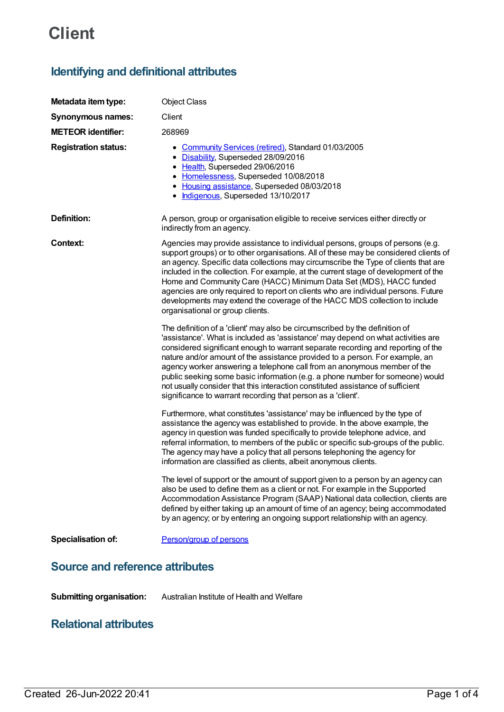# **Client**

# **Identifying and definitional attributes**

| Metadata item type:                    | <b>Object Class</b>                                                                                                                                                                                                                                                                                                                                                                                                                                                                                                                                                                                                                                 |
|----------------------------------------|-----------------------------------------------------------------------------------------------------------------------------------------------------------------------------------------------------------------------------------------------------------------------------------------------------------------------------------------------------------------------------------------------------------------------------------------------------------------------------------------------------------------------------------------------------------------------------------------------------------------------------------------------------|
| <b>Synonymous names:</b>               | Client                                                                                                                                                                                                                                                                                                                                                                                                                                                                                                                                                                                                                                              |
| <b>METEOR identifier:</b>              | 268969                                                                                                                                                                                                                                                                                                                                                                                                                                                                                                                                                                                                                                              |
| <b>Registration status:</b>            | • Community Services (retired), Standard 01/03/2005<br>• Disability, Superseded 28/09/2016<br>• Health, Superseded 29/06/2016<br>• Homelessness, Superseded 10/08/2018<br>• Housing assistance, Superseded 08/03/2018<br>· Indigenous, Superseded 13/10/2017                                                                                                                                                                                                                                                                                                                                                                                        |
| Definition:                            | A person, group or organisation eligible to receive services either directly or<br>indirectly from an agency.                                                                                                                                                                                                                                                                                                                                                                                                                                                                                                                                       |
| Context:                               | Agencies may provide assistance to individual persons, groups of persons (e.g.<br>support groups) or to other organisations. All of these may be considered clients of<br>an agency. Specific data collections may circumscribe the Type of clients that are<br>included in the collection. For example, at the current stage of development of the<br>Home and Community Care (HACC) Minimum Data Set (MDS), HACC funded<br>agencies are only required to report on clients who are individual persons. Future<br>developments may extend the coverage of the HACC MDS collection to include<br>organisational or group clients.                   |
|                                        | The definition of a 'client' may also be circumscribed by the definition of<br>'assistance'. What is included as 'assistance' may depend on what activities are<br>considered significant enough to warrant separate recording and reporting of the<br>nature and/or amount of the assistance provided to a person. For example, an<br>agency worker answering a telephone call from an anonymous member of the<br>public seeking some basic information (e.g. a phone number for someone) would<br>not usually consider that this interaction constituted assistance of sufficient<br>significance to warrant recording that person as a 'client'. |
|                                        | Furthermore, what constitutes 'assistance' may be influenced by the type of<br>assistance the agency was established to provide. In the above example, the<br>agency in question was funded specifically to provide telephone advice, and<br>referral information, to members of the public or specific sub-groups of the public.<br>The agency may have a policy that all persons telephoning the agency for<br>information are classified as clients, albeit anonymous clients.                                                                                                                                                                   |
|                                        | The level of support or the amount of support given to a person by an agency can<br>also be used to define them as a client or not. For example in the Supported<br>Accommodation Assistance Program (SAAP) National data collection, clients are<br>defined by either taking up an amount of time of an agency; being accommodated<br>by an agency; or by entering an ongoing support relationship with an agency.                                                                                                                                                                                                                                 |
| Specialisation of:                     | Person/group of persons                                                                                                                                                                                                                                                                                                                                                                                                                                                                                                                                                                                                                             |
| <b>Source and reference attributes</b> |                                                                                                                                                                                                                                                                                                                                                                                                                                                                                                                                                                                                                                                     |

**Submitting organisation:** Australian Institute of Health and Welfare

# **Relational attributes**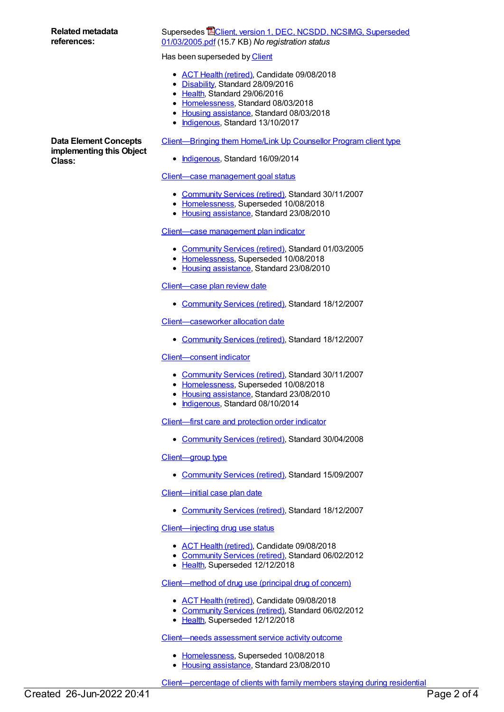# **Related metadata references:**

# Supersedes **EClient, version 1, DEC, NCSDD, NCSIMG, Superseded** [01/03/2005.pdf](https://meteor.aihw.gov.au/content/273482) (15.7 KB) *No registration status*

#### Has been superseded by [Client](https://meteor.aihw.gov.au/content/641397)

- ACT Health [\(retired\)](https://meteor.aihw.gov.au/RegistrationAuthority/9), Candidate 09/08/2018
- [Disability](https://meteor.aihw.gov.au/RegistrationAuthority/16), Standard 28/09/2016
- [Health](https://meteor.aihw.gov.au/RegistrationAuthority/12), Standard 29/06/2016
- [Homelessness](https://meteor.aihw.gov.au/RegistrationAuthority/14), Standard 08/03/2018
- Housing [assistance](https://meteor.aihw.gov.au/RegistrationAuthority/11), Standard 08/03/2018
- [Indigenous](https://meteor.aihw.gov.au/RegistrationAuthority/6), Standard 13/10/2017

[Client—Bringing](https://meteor.aihw.gov.au/content/577699) them Home/Link Up Counsellor Program client type

• [Indigenous](https://meteor.aihw.gov.au/RegistrationAuthority/6), Standard 16/09/2014

# Client—case [management](https://meteor.aihw.gov.au/content/336963) goal status

- [Community](https://meteor.aihw.gov.au/RegistrationAuthority/1) Services (retired), Standard 30/11/2007
- [Homelessness](https://meteor.aihw.gov.au/RegistrationAuthority/14), Superseded 10/08/2018
- Housing [assistance](https://meteor.aihw.gov.au/RegistrationAuthority/11), Standard 23/08/2010

# Client—case [management](https://meteor.aihw.gov.au/content/269809) plan indicator

- [Community](https://meteor.aihw.gov.au/RegistrationAuthority/1) Services (retired), Standard 01/03/2005
- [Homelessness](https://meteor.aihw.gov.au/RegistrationAuthority/14), Superseded 10/08/2018
- Housing [assistance](https://meteor.aihw.gov.au/RegistrationAuthority/11), Standard 23/08/2010

# [Client—case](https://meteor.aihw.gov.au/content/316406) plan review date

• [Community](https://meteor.aihw.gov.au/RegistrationAuthority/1) Services (retired), Standard 18/12/2007

# [Client—caseworker](https://meteor.aihw.gov.au/content/317371) allocation date

[Community](https://meteor.aihw.gov.au/RegistrationAuthority/1) Services (retired), Standard 18/12/2007

# [Client—consent](https://meteor.aihw.gov.au/content/338735) indicator

- [Community](https://meteor.aihw.gov.au/RegistrationAuthority/1) Services (retired), Standard 30/11/2007
- [Homelessness](https://meteor.aihw.gov.au/RegistrationAuthority/14), Superseded 10/08/2018
- Housing [assistance](https://meteor.aihw.gov.au/RegistrationAuthority/11), Standard 23/08/2010
- [Indigenous](https://meteor.aihw.gov.au/RegistrationAuthority/6), Standard 08/10/2014

[Client—first](https://meteor.aihw.gov.au/content/314539) care and protection order indicator

• [Community](https://meteor.aihw.gov.au/RegistrationAuthority/1) Services (retired), Standard 30/04/2008

# [Client—group](https://meteor.aihw.gov.au/content/336758) type

• [Community](https://meteor.aihw.gov.au/RegistrationAuthority/1) Services (retired), Standard 15/09/2007

# Client-initial case plan date

• [Community](https://meteor.aihw.gov.au/RegistrationAuthority/1) Services (retired), Standard 18/12/2007

# [Client—injecting](https://meteor.aihw.gov.au/content/269407) drug use status

- ACT Health [\(retired\)](https://meteor.aihw.gov.au/RegistrationAuthority/9), Candidate 09/08/2018
- [Community](https://meteor.aihw.gov.au/RegistrationAuthority/1) Services (retired), Standard 06/02/2012
- [Health](https://meteor.aihw.gov.au/RegistrationAuthority/12), Superseded 12/12/2018

# [Client—method](https://meteor.aihw.gov.au/content/269406) of drug use (principal drug of concern)

- ACT Health [\(retired\)](https://meteor.aihw.gov.au/RegistrationAuthority/9), Candidate 09/08/2018
- [Community](https://meteor.aihw.gov.au/RegistrationAuthority/1) Services (retired), Standard 06/02/2012
- [Health](https://meteor.aihw.gov.au/RegistrationAuthority/12), Superseded 12/12/2018

[Client—needs](https://meteor.aihw.gov.au/content/406151) assessment service activity outcome

- [Homelessness](https://meteor.aihw.gov.au/RegistrationAuthority/14), Superseded 10/08/2018
- Housing [assistance](https://meteor.aihw.gov.au/RegistrationAuthority/11), Standard 23/08/2010

**Data Element Concepts implementing this Object Class:**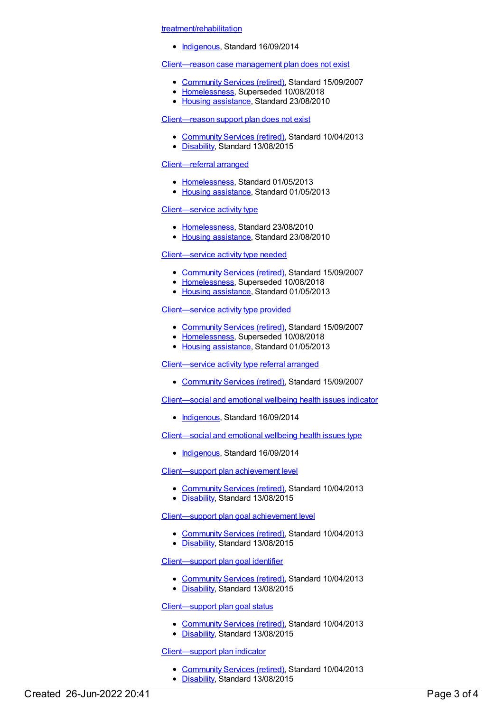#### treatment/rehabilitation

• [Indigenous](https://meteor.aihw.gov.au/RegistrationAuthority/6), Standard 16/09/2014

# [Client—reason](https://meteor.aihw.gov.au/content/350393) case management plan does not exist

- [Community](https://meteor.aihw.gov.au/RegistrationAuthority/1) Services (retired), Standard 15/09/2007
- [Homelessness](https://meteor.aihw.gov.au/RegistrationAuthority/14), Superseded 10/08/2018
- Housing [assistance](https://meteor.aihw.gov.au/RegistrationAuthority/11), Standard 23/08/2010

#### [Client—reason](https://meteor.aihw.gov.au/content/509835) support plan does not exist

- [Community](https://meteor.aihw.gov.au/RegistrationAuthority/1) Services (retired), Standard 10/04/2013
- [Disability](https://meteor.aihw.gov.au/RegistrationAuthority/16), Standard 13/08/2015

# [Client—referral](https://meteor.aihw.gov.au/content/508639) arranged

- [Homelessness](https://meteor.aihw.gov.au/RegistrationAuthority/14), Standard 01/05/2013
- Housing [assistance](https://meteor.aihw.gov.au/RegistrationAuthority/11), Standard 01/05/2013

#### [Client—service](https://meteor.aihw.gov.au/content/406073) activity type

- [Homelessness](https://meteor.aihw.gov.au/RegistrationAuthority/14), Standard 23/08/2010
- Housing [assistance](https://meteor.aihw.gov.au/RegistrationAuthority/11), Standard 23/08/2010

# [Client—service](https://meteor.aihw.gov.au/content/348868) activity type needed

- [Community](https://meteor.aihw.gov.au/RegistrationAuthority/1) Services (retired), Standard 15/09/2007
- [Homelessness](https://meteor.aihw.gov.au/RegistrationAuthority/14), Superseded 10/08/2018
- Housing [assistance](https://meteor.aihw.gov.au/RegistrationAuthority/11), Standard 01/05/2013

#### [Client—service](https://meteor.aihw.gov.au/content/352287) activity type provided

- [Community](https://meteor.aihw.gov.au/RegistrationAuthority/1) Services (retired), Standard 15/09/2007
- [Homelessness](https://meteor.aihw.gov.au/RegistrationAuthority/14), Superseded 10/08/2018
- Housing [assistance](https://meteor.aihw.gov.au/RegistrationAuthority/11), Standard 01/05/2013

# [Client—service](https://meteor.aihw.gov.au/content/352289) activity type referral arranged

• [Community](https://meteor.aihw.gov.au/RegistrationAuthority/1) Services (retired), Standard 15/09/2007

[Client—social](https://meteor.aihw.gov.au/content/567392) and emotional wellbeing health issues indicator

• [Indigenous](https://meteor.aihw.gov.au/RegistrationAuthority/6), Standard 16/09/2014

[Client—social](https://meteor.aihw.gov.au/content/567780) and emotional wellbeing health issues type

• [Indigenous](https://meteor.aihw.gov.au/RegistrationAuthority/6), Standard 16/09/2014

[Client—support](https://meteor.aihw.gov.au/content/509818) plan achievement level

- [Community](https://meteor.aihw.gov.au/RegistrationAuthority/1) Services (retired), Standard 10/04/2013
- [Disability](https://meteor.aihw.gov.au/RegistrationAuthority/16), Standard 13/08/2015

[Client—support](https://meteor.aihw.gov.au/content/509758) plan goal achievement level

- [Community](https://meteor.aihw.gov.au/RegistrationAuthority/1) Services (retired), Standard 10/04/2013
- [Disability](https://meteor.aihw.gov.au/RegistrationAuthority/16), Standard 13/08/2015

# [Client—support](https://meteor.aihw.gov.au/content/513114) plan goal identifier

- [Community](https://meteor.aihw.gov.au/RegistrationAuthority/1) Services (retired), Standard 10/04/2013
- [Disability](https://meteor.aihw.gov.au/RegistrationAuthority/16), Standard 13/08/2015

#### [Client—support](https://meteor.aihw.gov.au/content/509760) plan goal status

- [Community](https://meteor.aihw.gov.au/RegistrationAuthority/1) Services (retired), Standard 10/04/2013
- [Disability](https://meteor.aihw.gov.au/RegistrationAuthority/16), Standard 13/08/2015

# [Client—support](https://meteor.aihw.gov.au/content/512979) plan indicator

- [Community](https://meteor.aihw.gov.au/RegistrationAuthority/1) Services (retired), Standard 10/04/2013
- [Disability](https://meteor.aihw.gov.au/RegistrationAuthority/16), Standard 13/08/2015